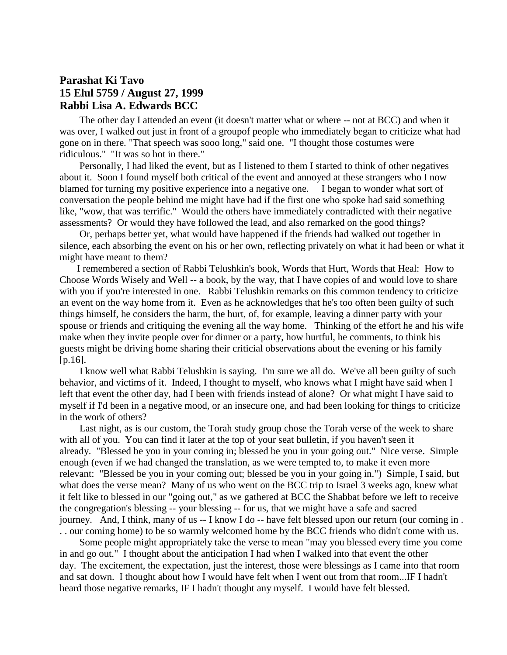## **Parashat Ki Tavo 15 Elul 5759 / August 27, 1999 Rabbi Lisa A. Edwards BCC**

 The other day I attended an event (it doesn't matter what or where -- not at BCC) and when it was over, I walked out just in front of a groupof people who immediately began to criticize what had gone on in there. "That speech was sooo long," said one. "I thought those costumes were ridiculous." "It was so hot in there."

 Personally, I had liked the event, but as I listened to them I started to think of other negatives about it. Soon I found myself both critical of the event and annoyed at these strangers who I now blamed for turning my positive experience into a negative one. I began to wonder what sort of conversation the people behind me might have had if the first one who spoke had said something like, "wow, that was terrific." Would the others have immediately contradicted with their negative assessments? Or would they have followed the lead, and also remarked on the good things?

 Or, perhaps better yet, what would have happened if the friends had walked out together in silence, each absorbing the event on his or her own, reflecting privately on what it had been or what it might have meant to them?

 I remembered a section of Rabbi Telushkin's book, Words that Hurt, Words that Heal: How to Choose Words Wisely and Well -- a book, by the way, that I have copies of and would love to share with you if you're interested in one. Rabbi Telushkin remarks on this common tendency to criticize an event on the way home from it. Even as he acknowledges that he's too often been guilty of such things himself, he considers the harm, the hurt, of, for example, leaving a dinner party with your spouse or friends and critiquing the evening all the way home. Thinking of the effort he and his wife make when they invite people over for dinner or a party, how hurtful, he comments, to think his guests might be driving home sharing their criticial observations about the evening or his family  $[p.16]$ .

 I know well what Rabbi Telushkin is saying. I'm sure we all do. We've all been guilty of such behavior, and victims of it. Indeed, I thought to myself, who knows what I might have said when I left that event the other day, had I been with friends instead of alone? Or what might I have said to myself if I'd been in a negative mood, or an insecure one, and had been looking for things to criticize in the work of others?

 Last night, as is our custom, the Torah study group chose the Torah verse of the week to share with all of you. You can find it later at the top of your seat bulletin, if you haven't seen it already. "Blessed be you in your coming in; blessed be you in your going out." Nice verse. Simple enough (even if we had changed the translation, as we were tempted to, to make it even more relevant: "Blessed be you in your coming out; blessed be you in your going in.") Simple, I said, but what does the verse mean? Many of us who went on the BCC trip to Israel 3 weeks ago, knew what it felt like to blessed in our "going out," as we gathered at BCC the Shabbat before we left to receive the congregation's blessing -- your blessing -- for us, that we might have a safe and sacred journey. And, I think, many of us -- I know I do -- have felt blessed upon our return (our coming in . . . our coming home) to be so warmly welcomed home by the BCC friends who didn't come with us.

 Some people might appropriately take the verse to mean "may you blessed every time you come in and go out." I thought about the anticipation I had when I walked into that event the other day. The excitement, the expectation, just the interest, those were blessings as I came into that room and sat down. I thought about how I would have felt when I went out from that room...IF I hadn't heard those negative remarks, IF I hadn't thought any myself. I would have felt blessed.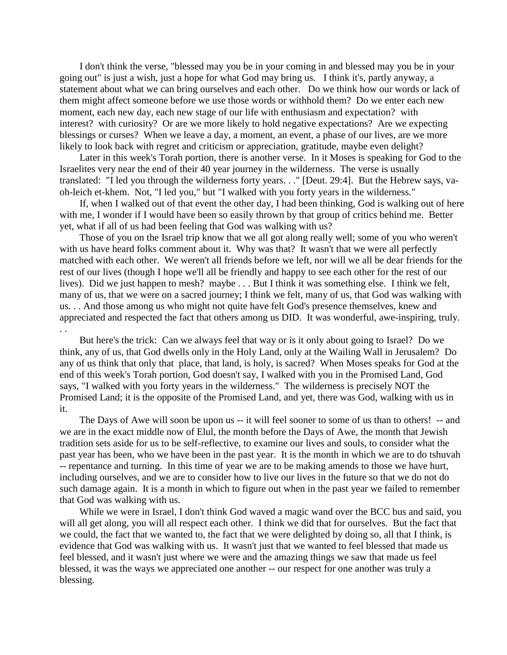I don't think the verse, "blessed may you be in your coming in and blessed may you be in your going out" is just a wish, just a hope for what God may bring us. I think it's, partly anyway, a statement about what we can bring ourselves and each other. Do we think how our words or lack of them might affect someone before we use those words or withhold them? Do we enter each new moment, each new day, each new stage of our life with enthusiasm and expectation? with interest? with curiosity? Or are we more likely to hold negative expectations? Are we expecting blessings or curses? When we leave a day, a moment, an event, a phase of our lives, are we more likely to look back with regret and criticism or appreciation, gratitude, maybe even delight?

 Later in this week's Torah portion, there is another verse. In it Moses is speaking for God to the Israelites very near the end of their 40 year journey in the wilderness. The verse is usually translated: "I led you through the wilderness forty years. . ." [Deut. 29:4]. But the Hebrew says, vaoh-leich et-khem. Not, "I led you," but "I walked with you forty years in the wilderness."

 If, when I walked out of that event the other day, I had been thinking, God is walking out of here with me, I wonder if I would have been so easily thrown by that group of critics behind me. Better yet, what if all of us had been feeling that God was walking with us?

 Those of you on the Israel trip know that we all got along really well; some of you who weren't with us have heard folks comment about it. Why was that? It wasn't that we were all perfectly matched with each other. We weren't all friends before we left, nor will we all be dear friends for the rest of our lives (though I hope we'll all be friendly and happy to see each other for the rest of our lives). Did we just happen to mesh? maybe . . . But I think it was something else. I think we felt, many of us, that we were on a sacred journey; I think we felt, many of us, that God was walking with us. . . And those among us who might not quite have felt God's presence themselves, knew and appreciated and respected the fact that others among us DID. It was wonderful, awe-inspiring, truly. . .

 But here's the trick: Can we always feel that way or is it only about going to Israel? Do we think, any of us, that God dwells only in the Holy Land, only at the Wailing Wall in Jerusalem? Do any of us think that only that place, that land, is holy, is sacred? When Moses speaks for God at the end of this week's Torah portion, God doesn't say, I walked with you in the Promised Land, God says, "I walked with you forty years in the wilderness." The wilderness is precisely NOT the Promised Land; it is the opposite of the Promised Land, and yet, there was God, walking with us in it.

 The Days of Awe will soon be upon us -- it will feel sooner to some of us than to others! -- and we are in the exact middle now of Elul, the month before the Days of Awe, the month that Jewish tradition sets aside for us to be self-reflective, to examine our lives and souls, to consider what the past year has been, who we have been in the past year. It is the month in which we are to do tshuvah -- repentance and turning. In this time of year we are to be making amends to those we have hurt, including ourselves, and we are to consider how to live our lives in the future so that we do not do such damage again. It is a month in which to figure out when in the past year we failed to remember that God was walking with us.

 While we were in Israel, I don't think God waved a magic wand over the BCC bus and said, you will all get along, you will all respect each other. I think we did that for ourselves. But the fact that we could, the fact that we wanted to, the fact that we were delighted by doing so, all that I think, is evidence that God was walking with us. It wasn't just that we wanted to feel blessed that made us feel blessed, and it wasn't just where we were and the amazing things we saw that made us feel blessed, it was the ways we appreciated one another -- our respect for one another was truly a blessing.